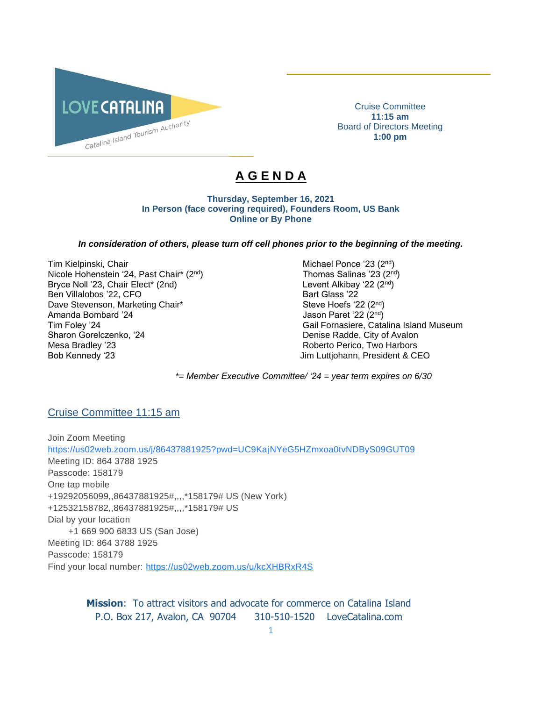

Cruise Committee **11:15 am** Board of Directors Meeting **1:00 pm**

\_\_\_\_\_\_\_\_\_\_\_\_\_\_\_\_\_\_\_\_\_\_\_\_\_\_\_\_\_\_\_\_\_\_\_\_\_\_\_\_\_\_

# **A G E N D A**

 $\overline{\phantom{a}}$ 

**Thursday, September 16, 2021 In Person (face covering required), Founders Room, US Bank Online or By Phone**

### *In consideration of others, please turn off cell phones prior to the beginning of the meeting.*

Tim Kielpinski, Chair Michael Ponce '23 (2<sup>nd</sup>) and Michael Ponce '23 (2<sup>nd</sup>) Nicole Hohenstein '24, Past Chair\* (2<sup>nd</sup>) Thomas Salinas '23 (2<sup>nd</sup>) Bryce Noll '23, Chair Elect\* (2nd) Chair Chair Chair Chair Chair Chair Chair Chair Chair Chair Chair Chair Chair Chair Chair Chair Chair Chair Chair Chair Chair Chair Chair Chair Chair Chair Chair Chair Chair Chair Chair C Ben Villalobos '22, CFO Bart Glass '22 Dave Stevenson, Marketing Chair\* Steve Hoefs '22 (2<sup>nd</sup>) Steve Hoefs '22 (2<sup>nd</sup>) Amanda Bombard '24 Jason Paret '22 (2<sup>nd</sup>) Sharon Gorelczenko, '24 Denise Radde, City of Avalon Mesa Bradley '23 **Roberto Perico, Two Harbors** Roberto Perico, Two Harbors Bob Kennedy '23 Jim Luttjohann, President & CEO

Tim Foley '24 Gail Fornasiere, Catalina Island Museum

*\*= Member Executive Committee/ '24 = year term expires on 6/30* 

### Cruise Committee 11:15 am

Join Zoom Meeting [https://us02web.zoom.us/j/86437881925?pwd=UC9KajNYeG5HZmxoa0tvNDByS09GUT09](https://www.google.com/url?q=https://us02web.zoom.us/j/86437881925?pwd%3DUC9KajNYeG5HZmxoa0tvNDByS09GUT09&sa=D&source=calendar&ust=1631753451820451&usg=AOvVaw2Zm8COYckK3G9e3_XS16ob) Meeting ID: 864 3788 1925 Passcode: 158179 One tap mobile +19292056099,,86437881925#,,,,\*158179# US (New York) +12532158782,,86437881925#,,,,\*158179# US Dial by your location +1 669 900 6833 US (San Jose) Meeting ID: 864 3788 1925 Passcode: 158179 Find your local number: [https://us02web.zoom.us/u/kcXHBRxR4S](https://www.google.com/url?q=https://us02web.zoom.us/u/kcXHBRxR4S&sa=D&source=calendar&ust=1631753451820451&usg=AOvVaw3ahAaXeTIhIj3Cd8Ou50i6)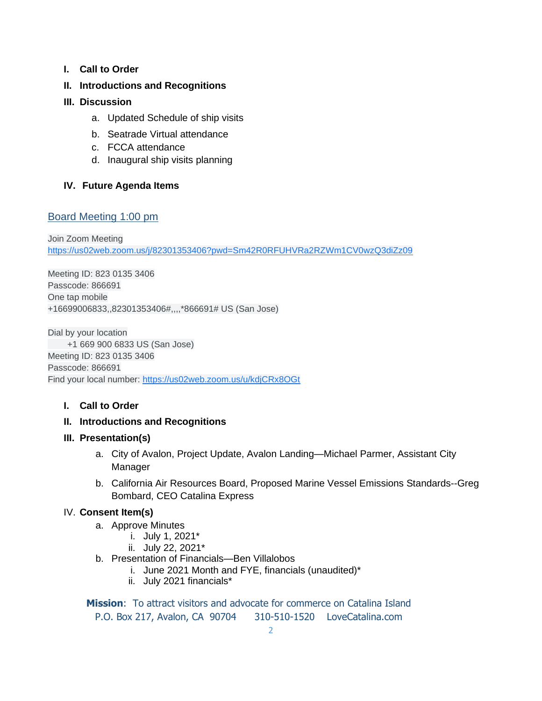**I. Call to Order** 

# **II. Introductions and Recognitions**

### **III. Discussion**

- a. Updated Schedule of ship visits
- b. Seatrade Virtual attendance
- c. FCCA attendance
- d. Inaugural ship visits planning

# **IV. Future Agenda Items**

### Board Meeting 1:00 pm

Join Zoom Meeting [https://us02web.zoom.us/j/82301353406?pwd=Sm42R0RFUHVRa2RZWm1CV0wzQ3diZz09](https://www.google.com/url?q=https://us02web.zoom.us/j/82301353406?pwd%3DSm42R0RFUHVRa2RZWm1CV0wzQ3diZz09&sa=D&source=calendar&ust=1615520592838000&usg=AOvVaw2YOhWUTEJgTHZ7_ay-dgZd)

Meeting ID: 823 0135 3406 Passcode: 866691 One tap mobile +16699006833,,82301353406#,,,,\*866691# US (San Jose)

Dial by your location +1 669 900 6833 US (San Jose) Meeting ID: 823 0135 3406 Passcode: 866691 Find your local number: [https://us02web.zoom.us/u/kdjCRx8OGt](https://www.google.com/url?q=https://us02web.zoom.us/u/kdjCRx8OGt&sa=D&source=calendar&ust=1615520592838000&usg=AOvVaw2gwBpPGmW2ln1ZL1spFK5e)

# **I. Call to Order**

### **II. Introductions and Recognitions**

### **III. Presentation(s)**

- a. City of Avalon, Project Update, Avalon Landing—Michael Parmer, Assistant City Manager
- b. California Air Resources Board, Proposed Marine Vessel Emissions Standards--Greg Bombard, CEO Catalina Express

### IV. **Consent Item(s)**

- a. Approve Minutes
	- i. July 1, 2021\*
	- ii. July 22, 2021\*
- b. Presentation of Financials—Ben Villalobos
	- i. June 2021 Month and FYE, financials (unaudited)\*
	- ii. July 2021 financials\*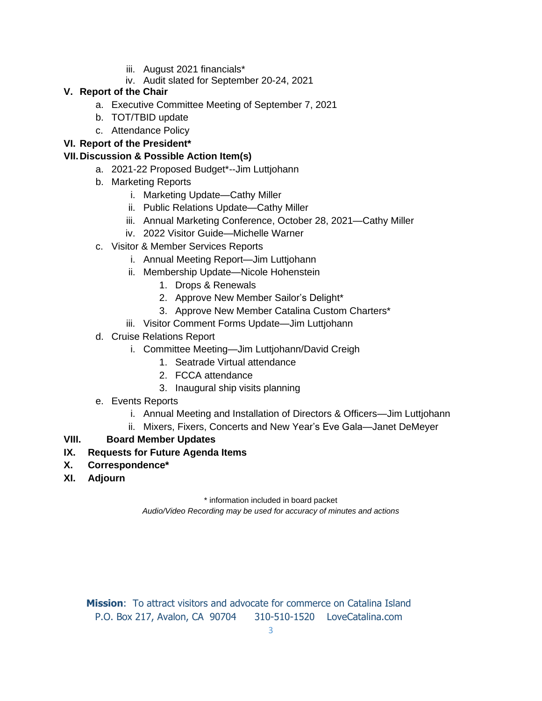- iii. August 2021 financials\*
- iv. Audit slated for September 20-24, 2021

# **V. Report of the Chair**

- a. Executive Committee Meeting of September 7, 2021
- b. TOT/TBID update
- c. Attendance Policy

# **VI. Report of the President\***

# **VII.Discussion & Possible Action Item(s)**

- a. 2021-22 Proposed Budget\*--Jim Luttjohann
- b. Marketing Reports
	- i. Marketing Update—Cathy Miller
	- ii. Public Relations Update—Cathy Miller
	- iii. Annual Marketing Conference, October 28, 2021—Cathy Miller
	- iv. 2022 Visitor Guide—Michelle Warner
- c. Visitor & Member Services Reports
	- i. Annual Meeting Report—Jim Luttjohann
	- ii. Membership Update—Nicole Hohenstein
		- 1. Drops & Renewals
		- 2. Approve New Member Sailor's Delight\*
		- 3. Approve New Member Catalina Custom Charters\*
	- iii. Visitor Comment Forms Update—Jim Luttjohann
- d. Cruise Relations Report
	- i. Committee Meeting—Jim Luttjohann/David Creigh
		- 1. Seatrade Virtual attendance
		- 2. FCCA attendance
		- 3. Inaugural ship visits planning
- e. Events Reports
	- i. Annual Meeting and Installation of Directors & Officers—Jim Luttjohann
	- ii. Mixers, Fixers, Concerts and New Year's Eve Gala—Janet DeMeyer

# **VIII. Board Member Updates**

- **IX. Requests for Future Agenda Items**
- **X. Correspondence\***
- **XI. Adjourn**

\* information included in board packet

*Audio/Video Recording may be used for accuracy of minutes and actions*